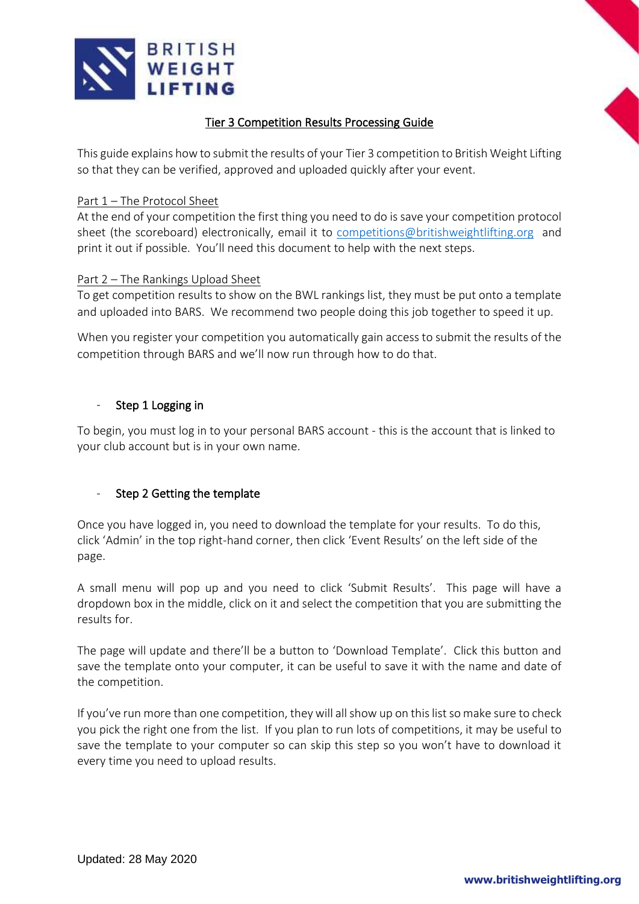

## Tier 3 Competition Results Processing Guide

This guide explains how to submit the results of your Tier 3 competition to British Weight Lifting so that they can be verified, approved and uploaded quickly after your event.

#### Part 1 – The Protocol Sheet

At the end of your competition the first thing you need to do is save your competition protocol sheet (the scoreboard) electronically, email it to [competitions@britishweightlifting.org](mailto:competitions@britishweightlifting.org) and print it out if possible. You'll need this document to help with the next steps.

#### Part 2 – The Rankings Upload Sheet

To get competition results to show on the BWL rankings list, they must be put onto a template and uploaded into BARS. We recommend two people doing this job together to speed it up.

When you register your competition you automatically gain access to submit the results of the competition through BARS and we'll now run through how to do that.

#### - Step 1 Logging in

To begin, you must log in to your personal BARS account - this is the account that is linked to your club account but is in your own name.

### Step 2 Getting the template

Once you have logged in, you need to download the template for your results. To do this, click 'Admin' in the top right-hand corner, then click 'Event Results' on the left side of the page.

A small menu will pop up and you need to click 'Submit Results'. This page will have a dropdown box in the middle, click on it and select the competition that you are submitting the results for.

The page will update and there'll be a button to 'Download Template'. Click this button and save the template onto your computer, it can be useful to save it with the name and date of the competition.

If you've run more than one competition, they will all show up on this list so make sure to check you pick the right one from the list. If you plan to run lots of competitions, it may be useful to save the template to your computer so can skip this step so you won't have to download it every time you need to upload results.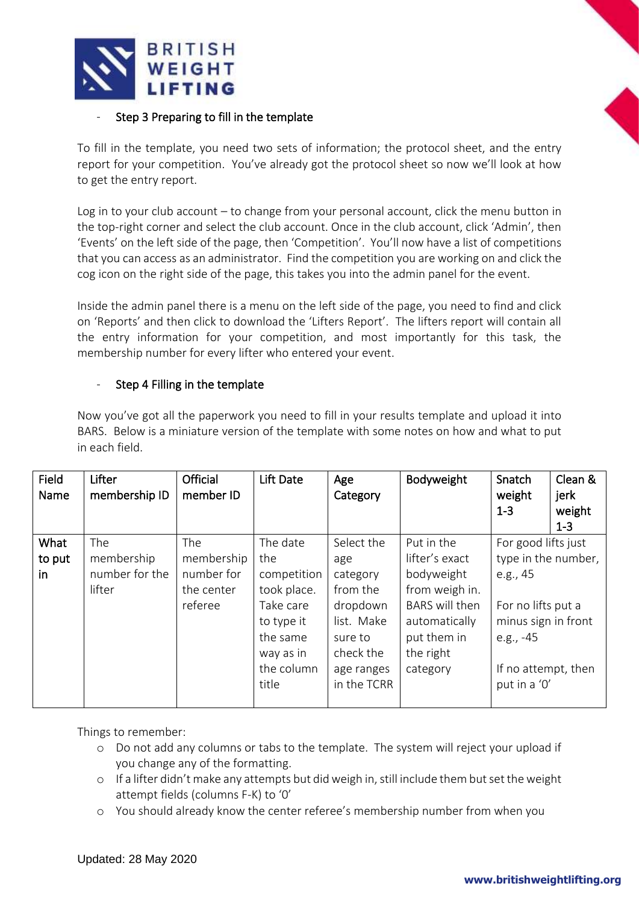

### Step 3 Preparing to fill in the template

To fill in the template, you need two sets of information; the protocol sheet, and the entry report for your competition. You've already got the protocol sheet so now we'll look at how to get the entry report.

Log in to your club account – to change from your personal account, click the menu button in the top-right corner and select the club account. Once in the club account, click 'Admin', then 'Events' on the left side of the page, then 'Competition'. You'll now have a list of competitions that you can access as an administrator. Find the competition you are working on and click the cog icon on the right side of the page, this takes you into the admin panel for the event.

Inside the admin panel there is a menu on the left side of the page, you need to find and click on 'Reports' and then click to download the 'Lifters Report'. The lifters report will contain all the entry information for your competition, and most importantly for this task, the membership number for every lifter who entered your event.

### Step 4 Filling in the template

Now you've got all the paperwork you need to fill in your results template and upload it into BARS. Below is a miniature version of the template with some notes on how and what to put in each field.

| Field<br>Name | Lifter<br>membership ID | Official<br>member ID | Lift Date   | Age<br>Category | Bodyweight            | Snatch<br>weight<br>$1 - 3$ | Clean &<br>jerk<br>weight<br>$1 - 3$ |
|---------------|-------------------------|-----------------------|-------------|-----------------|-----------------------|-----------------------------|--------------------------------------|
| What          | The                     | The                   | The date    | Select the      | Put in the            | For good lifts just         |                                      |
| to put        | membership              | membership            | the         | age             | lifter's exact        | type in the number,         |                                      |
| in            | number for the          | number for            | competition | category        | bodyweight            | e.g., 45                    |                                      |
|               | lifter                  | the center            | took place. | from the        | from weigh in.        |                             |                                      |
|               |                         | referee               | Take care   | dropdown        | <b>BARS</b> will then | For no lifts put a          |                                      |
|               |                         |                       | to type it  | list. Make      | automatically         | minus sign in front         |                                      |
|               |                         |                       | the same    | sure to         | put them in           | e.g., $-45$                 |                                      |
|               |                         |                       | way as in   | check the       | the right             |                             |                                      |
|               |                         |                       | the column  | age ranges      | category              | If no attempt, then         |                                      |
|               |                         |                       | title       | in the TCRR     |                       | put in a '0'                |                                      |
|               |                         |                       |             |                 |                       |                             |                                      |

Things to remember:

- o Do not add any columns or tabs to the template. The system will reject your upload if you change any of the formatting.
- $\circ$  If a lifter didn't make any attempts but did weigh in, still include them but set the weight attempt fields (columns F-K) to '0'
- o You should already know the center referee's membership number from when you